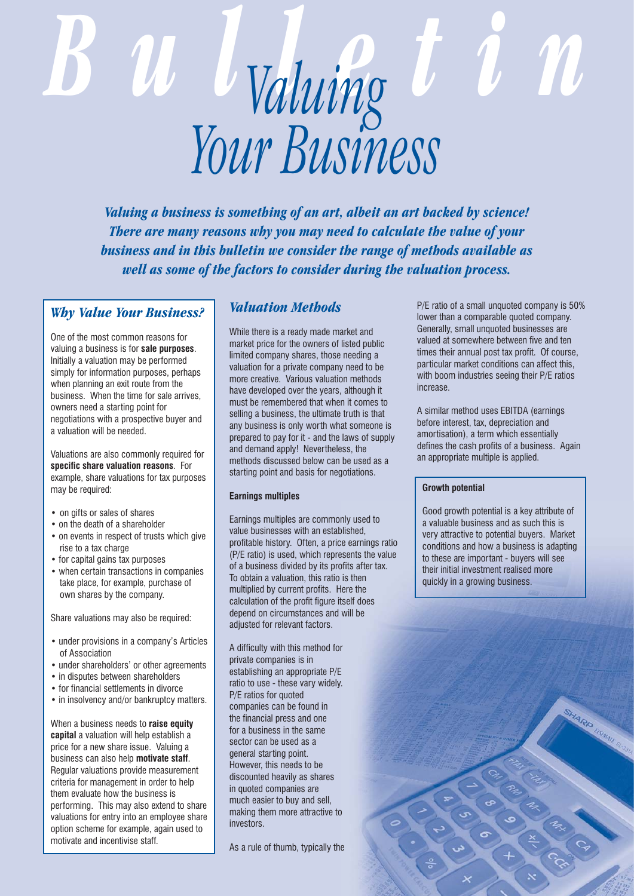# *Bulletin Valuing Your Business*

*Valuing a business is something of an art, albeit an art backed by science! There are many reasons why you may need to calculate the value of your business and in this bulletin we consider the range of methods available as well as some of the factors to consider during the valuation process.*

## *Why Value Your Business?*

One of the most common reasons for valuing a business is for **sale purposes**. Initially a valuation may be performed simply for information purposes, perhaps when planning an exit route from the business. When the time for sale arrives, owners need a starting point for negotiations with a prospective buyer and a valuation will be needed.

Valuations are also commonly required for **specific share valuation reasons**. For example, share valuations for tax purposes may be required:

- on gifts or sales of shares
- on the death of a shareholder
- on events in respect of trusts which give rise to a tax charge
- for capital gains tax purposes
- when certain transactions in companies take place, for example, purchase of own shares by the company.

Share valuations may also be required:

- under provisions in a company's Articles of Association
- under shareholders' or other agreements
- in disputes between shareholders
- for financial settlements in divorce
- in insolvency and/or bankruptcy matters.

When a business needs to **raise equity capital** a valuation will help establish a price for a new share issue. Valuing a business can also help **motivate staff**. Regular valuations provide measurement criteria for management in order to help them evaluate how the business is performing. This may also extend to share valuations for entry into an employee share option scheme for example, again used to motivate and incentivise staff.

# *Valuation Methods*

While there is a ready made market and market price for the owners of listed public limited company shares, those needing a valuation for a private company need to be more creative. Various valuation methods have developed over the years, although it must be remembered that when it comes to selling a business, the ultimate truth is that any business is only worth what someone is prepared to pay for it - and the laws of supply and demand apply! Nevertheless, the methods discussed below can be used as a starting point and basis for negotiations.

### **Earnings multiples**

Earnings multiples are commonly used to value businesses with an established, profitable history. Often, a price earnings ratio (P/E ratio) is used, which represents the value of a business divided by its profits after tax. To obtain a valuation, this ratio is then multiplied by current profits. Here the calculation of the profit figure itself does depend on circumstances and will be adjusted for relevant factors.

A difficulty with this method for private companies is in establishing an appropriate P/E ratio to use - these vary widely. P/E ratios for quoted companies can be found in the financial press and one for a business in the same sector can be used as a general starting point. However, this needs to be discounted heavily as shares in quoted companies are much easier to buy and sell, making them more attractive to investors.

As a rule of thumb, typically the

P/E ratio of a small unquoted company is 50% lower than a comparable quoted company. Generally, small unquoted businesses are valued at somewhere between five and ten times their annual post tax profit. Of course, particular market conditions can affect this, with boom industries seeing their P/E ratios increase.

A similar method uses EBITDA (earnings before interest, tax, depreciation and amortisation), a term which essentially defines the cash profits of a business. Again an appropriate multiple is applied.

### **Growth potential**

Good growth potential is a key attribute of a valuable business and as such this is very attractive to potential buyers. Market conditions and how a business is adapting to these are important - buyers will see their initial investment realised more quickly in a growing business.

**HARD HAMAIL**